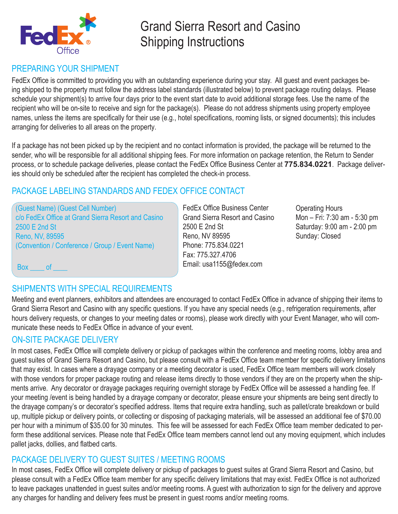

# Grand Sierra Resort and Casino Shipping Instructions

## PREPARING YOUR SHIPMENT

FedEx Office is committed to providing you with an outstanding experience during your stay. All guest and event packages being shipped to the property must follow the address label standards (illustrated below) to prevent package routing delays. Please schedule your shipment(s) to arrive four days prior to the event start date to avoid additional storage fees. Use the name of the recipient who will be on-site to receive and sign for the package(s). Please do not address shipments using property employee names, unless the items are specifically for their use (e.g., hotel specifications, rooming lists, or signed documents); this includes arranging for deliveries to all areas on the property.

If a package has not been picked up by the recipient and no contact information is provided, the package will be returned to the sender, who will be responsible for all additional shipping fees. For more information on package retention, the Return to Sender process, or to schedule package deliveries, please contact the FedEx Office Business Center at **775.834.0221**. Package deliveries should only be scheduled after the recipient has completed the check-in process.

## PACKAGE LABELING STANDARDS AND FEDEX OFFICE CONTACT

(Guest Name) (Guest Cell Number) c/o FedEx Office at Grand Sierra Resort and Casino 2500 E 2nd St Reno, NV, 89595 (Convention / Conference / Group / Event Name)

FedEx Office Business Center Grand Sierra Resort and Casino 2500 E 2nd St Reno, NV 89595 Phone: 775.834.0221 Fax: 775.327.4706 Email: usa1155@fedex.com

Operating Hours Mon – Fri: 7:30 am - 5:30 pm Saturday: 9:00 am - 2:00 pm Sunday: Closed

Box of

## SHIPMENTS WITH SPECIAL REQUIREMENTS

Meeting and event planners, exhibitors and attendees are encouraged to contact FedEx Office in advance of shipping their items to Grand Sierra Resort and Casino with any specific questions. If you have any special needs (e.g., refrigeration requirements, after hours delivery requests, or changes to your meeting dates or rooms), please work directly with your Event Manager, who will communicate these needs to FedEx Office in advance of your event.

## ON-SITE PACKAGE DELIVERY

In most cases, FedEx Office will complete delivery or pickup of packages within the conference and meeting rooms, lobby area and guest suites of Grand Sierra Resort and Casino, but please consult with a FedEx Office team member for specific delivery limitations that may exist. In cases where a drayage company or a meeting decorator is used, FedEx Office team members will work closely with those vendors for proper package routing and release items directly to those vendors if they are on the property when the shipments arrive. Any decorator or drayage packages requiring overnight storage by FedEx Office will be assessed a handling fee. If your meeting /event is being handled by a drayage company or decorator, please ensure your shipments are being sent directly to the drayage company's or decorator's specified address. Items that require extra handling, such as pallet/crate breakdown or build up, multiple pickup or delivery points, or collecting or disposing of packaging materials, will be assessed an additional fee of \$70.00 per hour with a minimum of \$35.00 for 30 minutes. This fee will be assessed for each FedEx Office team member dedicated to perform these additional services. Please note that FedEx Office team members cannot lend out any moving equipment, which includes pallet jacks, dollies, and flatbed carts.

## PACKAGE DELIVERY TO GUEST SUITES / MEETING ROOMS

In most cases, FedEx Office will complete delivery or pickup of packages to guest suites at Grand Sierra Resort and Casino, but please consult with a FedEx Office team member for any specific delivery limitations that may exist. FedEx Office is not authorized to leave packages unattended in guest suites and/or meeting rooms. A guest with authorization to sign for the delivery and approve any charges for handling and delivery fees must be present in guest rooms and/or meeting rooms.